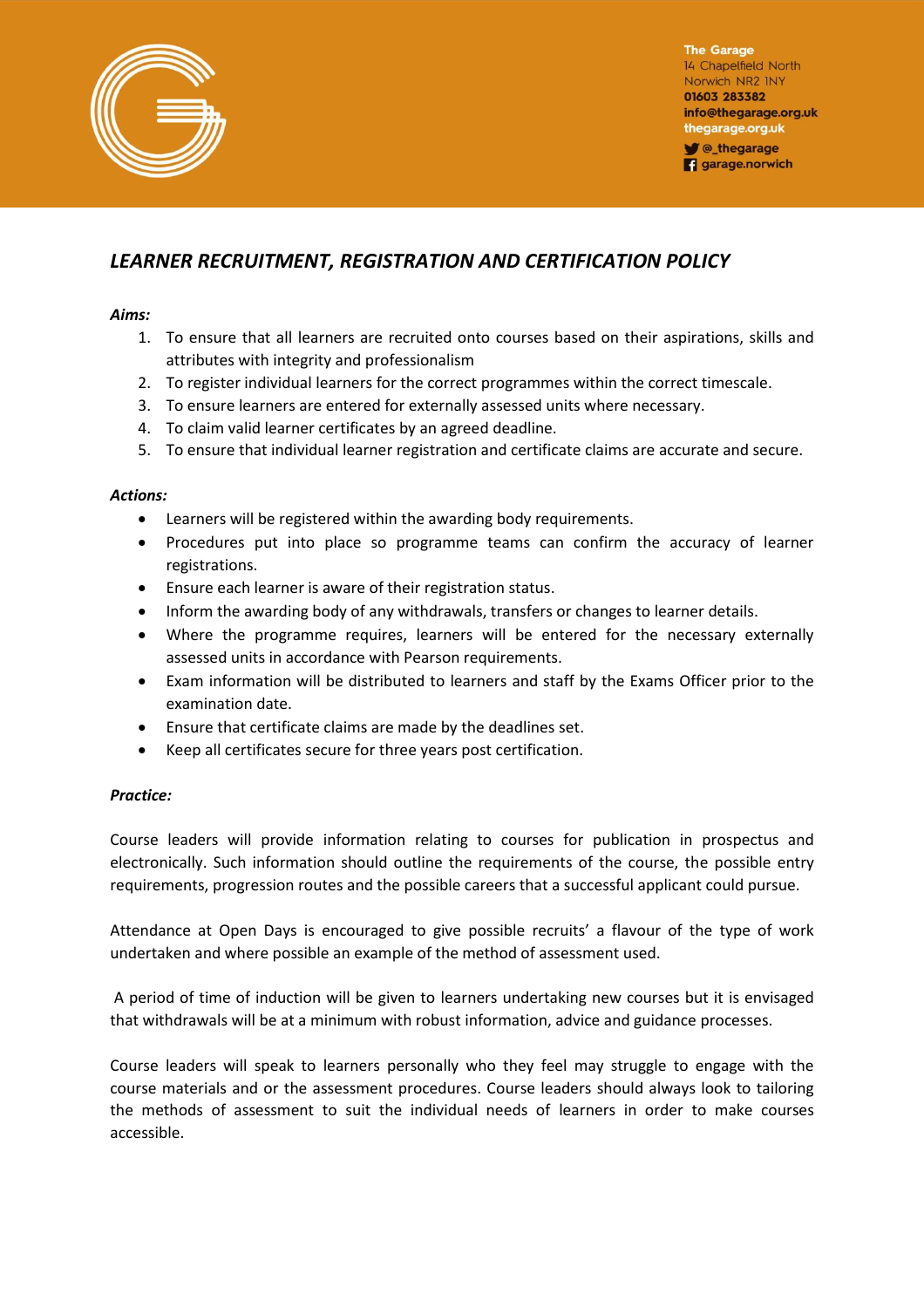

**The Garage** 14 Chapelfield North Norwich NR2 INY 01603 283382 info@thegarage.org.uk thegarage.org.uk **V** @\_thegarage **q** garage.norwich

## *LEARNER RECRUITMENT, REGISTRATION AND CERTIFICATION POLICY*

## *Aims:*

- 1. To ensure that all learners are recruited onto courses based on their aspirations, skills and attributes with integrity and professionalism
- 2. To register individual learners for the correct programmes within the correct timescale.
- 3. To ensure learners are entered for externally assessed units where necessary.
- 4. To claim valid learner certificates by an agreed deadline.
- 5. To ensure that individual learner registration and certificate claims are accurate and secure.

## *Actions:*

- Learners will be registered within the awarding body requirements.
- Procedures put into place so programme teams can confirm the accuracy of learner registrations.
- Ensure each learner is aware of their registration status.
- Inform the awarding body of any withdrawals, transfers or changes to learner details.
- Where the programme requires, learners will be entered for the necessary externally assessed units in accordance with Pearson requirements.
- Exam information will be distributed to learners and staff by the Exams Officer prior to the examination date.
- Ensure that certificate claims are made by the deadlines set.
- Keep all certificates secure for three years post certification.

## *Practice:*

Course leaders will provide information relating to courses for publication in prospectus and electronically. Such information should outline the requirements of the course, the possible entry requirements, progression routes and the possible careers that a successful applicant could pursue.

Attendance at Open Days is encouraged to give possible recruits' a flavour of the type of work undertaken and where possible an example of the method of assessment used.

 A period of time of induction will be given to learners undertaking new courses but it is envisaged that withdrawals will be at a minimum with robust information, advice and guidance processes.

Course leaders will speak to learners personally who they feel may struggle to engage with the course materials and or the assessment procedures. Course leaders should always look to tailoring the methods of assessment to suit the individual needs of learners in order to make courses accessible.